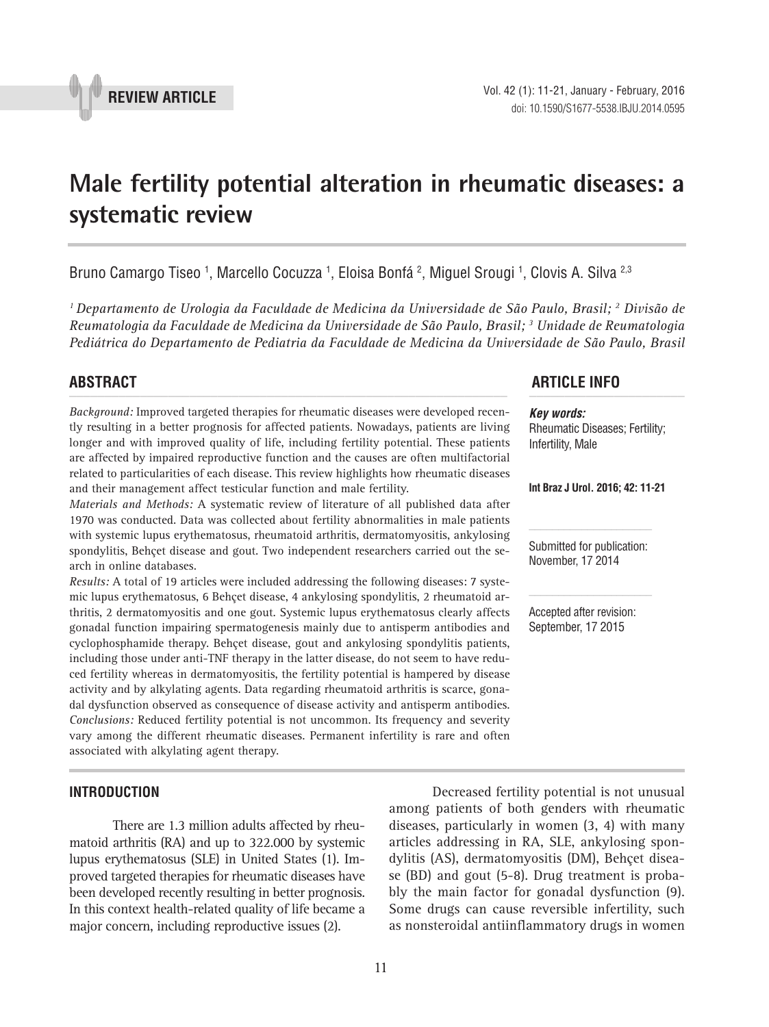

# **Male fertility potential alteration in rheumatic diseases: a systematic review \_\_\_\_\_\_\_\_\_\_\_\_\_\_\_\_\_\_\_\_\_\_\_\_\_\_\_\_\_\_\_\_\_\_\_\_\_\_\_\_\_\_\_\_\_\_\_**

Bruno Camargo Tiseo <sup>1</sup>, Marcello Cocuzza <sup>1</sup>, Eloisa Bonfá <sup>2</sup>, Miguel Srougi <sup>1</sup>, Clovis A. Silva <sup>2,3</sup>

*1 Departamento de Urologia da Faculdade de Medicina da Universidade de São Paulo, Brasil; 2 Divisão de Reumatologia da Faculdade de Medicina da Universidade de São Paulo, Brasil; 3 Unidade de Reumatologia Pediátrica do Departamento de Pediatria da Faculdade de Medicina da Universidade de São Paulo, Brasil*

*Background:* Improved targeted therapies for rheumatic diseases were developed recently resulting in a better prognosis for affected patients. Nowadays, patients are living longer and with improved quality of life, including fertility potential. These patients are affected by impaired reproductive function and the causes are often multifactorial related to particularities of each disease. This review highlights how rheumatic diseases and their management affect testicular function and male fertility.

*Materials and Methods:* A systematic review of literature of all published data after 1970 was conducted. Data was collected about fertility abnormalities in male patients with systemic lupus erythematosus, rheumatoid arthritis, dermatomyositis, ankylosing spondylitis, Behçet disease and gout. Two independent researchers carried out the search in online databases.

*Results:* A total of 19 articles were included addressing the following diseases: 7 systemic lupus erythematosus, 6 Behçet disease, 4 ankylosing spondylitis, 2 rheumatoid arthritis, 2 dermatomyositis and one gout. Systemic lupus erythematosus clearly affects gonadal function impairing spermatogenesis mainly due to antisperm antibodies and cyclophosphamide therapy. Behçet disease, gout and ankylosing spondylitis patients, including those under anti-TNF therapy in the latter disease, do not seem to have reduced fertility whereas in dermatomyositis, the fertility potential is hampered by disease activity and by alkylating agents. Data regarding rheumatoid arthritis is scarce, gonadal dysfunction observed as consequence of disease activity and antisperm antibodies. *Conclusions:* Reduced fertility potential is not uncommon. Its frequency and severity vary among the different rheumatic diseases. Permanent infertility is rare and often associated with alkylating agent therapy.

# **INTRODUCTION**

There are 1.3 million adults affected by rheumatoid arthritis (RA) and up to 322.000 by systemic lupus erythematosus (SLE) in United States (1). Improved targeted therapies for rheumatic diseases have been developed recently resulting in better prognosis. In this context health-related quality of life became a major concern, including reproductive issues (2).

# **ABSTRACT ARTICLE INFO** *\_\_\_\_\_\_\_\_\_\_\_\_\_\_\_\_\_\_\_\_\_\_\_\_\_\_\_\_\_\_\_\_\_\_\_\_\_\_\_\_\_\_\_\_\_\_\_\_\_\_\_\_\_\_\_\_\_\_\_\_\_\_ \_\_\_\_\_\_\_\_\_\_\_\_\_\_\_\_\_\_\_\_\_\_*

*Key words:* Rheumatic Diseases; Fertility; Infertility, Male

**Int Braz J Urol. 2016; 42: 11-21**

Submitted for publication: November, 17 2014

Accepted after revision: September, 17 2015

Decreased fertility potential is not unusual among patients of both genders with rheumatic diseases, particularly in women (3, 4) with many articles addressing in RA, SLE, ankylosing spondylitis (AS), dermatomyositis (DM), Behçet disease (BD) and gout (5-8). Drug treatment is probably the main factor for gonadal dysfunction (9). Some drugs can cause reversible infertility, such as nonsteroidal antiinflammatory drugs in women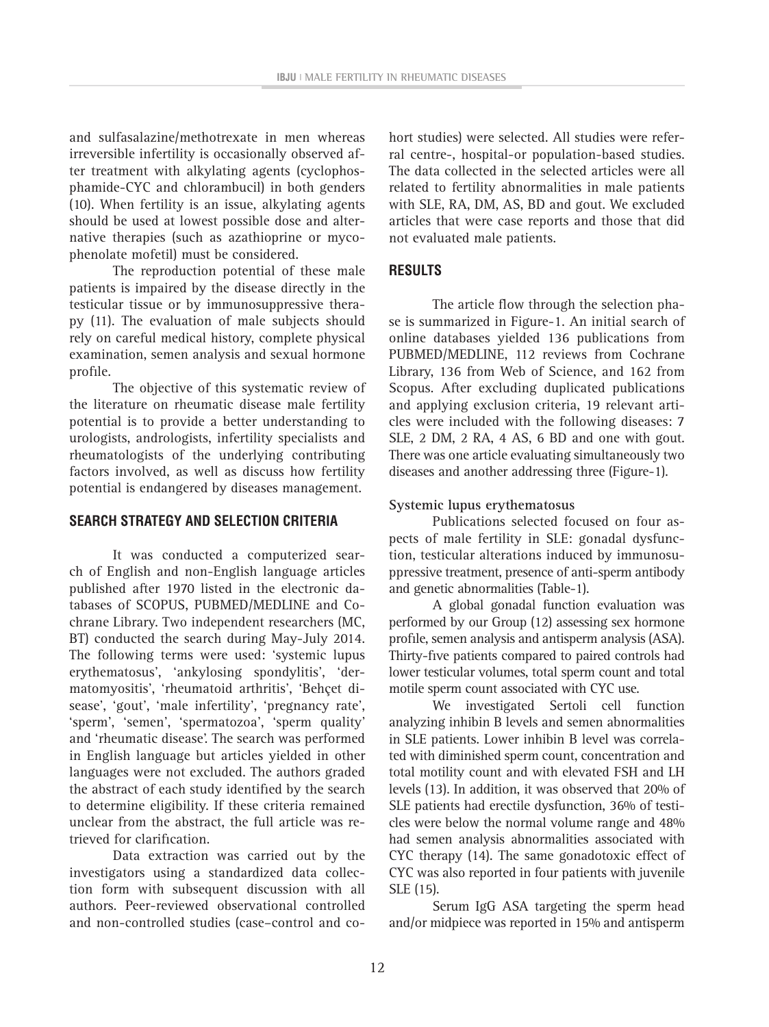and sulfasalazine/methotrexate in men whereas irreversible infertility is occasionally observed after treatment with alkylating agents (cyclophosphamide-CYC and chlorambucil) in both genders (10). When fertility is an issue, alkylating agents should be used at lowest possible dose and alternative therapies (such as azathioprine or mycophenolate mofetil) must be considered.

The reproduction potential of these male patients is impaired by the disease directly in the testicular tissue or by immunosuppressive therapy (11). The evaluation of male subjects should rely on careful medical history, complete physical examination, semen analysis and sexual hormone profile.

The objective of this systematic review of the literature on rheumatic disease male fertility potential is to provide a better understanding to urologists, andrologists, infertility specialists and rheumatologists of the underlying contributing factors involved, as well as discuss how fertility potential is endangered by diseases management.

# **SEARCH STRATEGY AND SELECTION CRITERIA**

It was conducted a computerized search of English and non-English language articles published after 1970 listed in the electronic databases of SCOPUS, PUBMED/MEDLINE and Cochrane Library. Two independent researchers (MC, BT) conducted the search during May-July 2014. The following terms were used: 'systemic lupus erythematosus', 'ankylosing spondylitis', 'dermatomyositis', 'rheumatoid arthritis', 'Behçet disease', 'gout', 'male infertility', 'pregnancy rate', 'sperm', 'semen', 'spermatozoa', 'sperm quality' and 'rheumatic disease'. The search was performed in English language but articles yielded in other languages were not excluded. The authors graded the abstract of each study identified by the search to determine eligibility. If these criteria remained unclear from the abstract, the full article was retrieved for clarification.

Data extraction was carried out by the investigators using a standardized data collection form with subsequent discussion with all authors. Peer-reviewed observational controlled and non-controlled studies (case–control and cohort studies) were selected. All studies were referral centre-, hospital-or population-based studies. The data collected in the selected articles were all related to fertility abnormalities in male patients with SLE, RA, DM, AS, BD and gout. We excluded articles that were case reports and those that did not evaluated male patients.

# **RESULTS**

The article flow through the selection phase is summarized in Figure-1. An initial search of online databases yielded 136 publications from PUBMED/MEDLINE, 112 reviews from Cochrane Library, 136 from Web of Science, and 162 from Scopus. After excluding duplicated publications and applying exclusion criteria, 19 relevant articles were included with the following diseases: 7 SLE, 2 DM, 2 RA, 4 AS, 6 BD and one with gout. There was one article evaluating simultaneously two diseases and another addressing three (Figure-1).

# **Systemic lupus erythematosus**

Publications selected focused on four aspects of male fertility in SLE: gonadal dysfunction, testicular alterations induced by immunosuppressive treatment, presence of anti-sperm antibody and genetic abnormalities (Table-1).

A global gonadal function evaluation was performed by our Group (12) assessing sex hormone profile, semen analysis and antisperm analysis (ASA). Thirty-five patients compared to paired controls had lower testicular volumes, total sperm count and total motile sperm count associated with CYC use.

We investigated Sertoli cell function analyzing inhibin B levels and semen abnormalities in SLE patients. Lower inhibin B level was correlated with diminished sperm count, concentration and total motility count and with elevated FSH and LH levels (13). In addition, it was observed that 20% of SLE patients had erectile dysfunction, 36% of testicles were below the normal volume range and 48% had semen analysis abnormalities associated with CYC therapy (14). The same gonadotoxic effect of CYC was also reported in four patients with juvenile SLE (15).

Serum IgG ASA targeting the sperm head and/or midpiece was reported in 15% and antisperm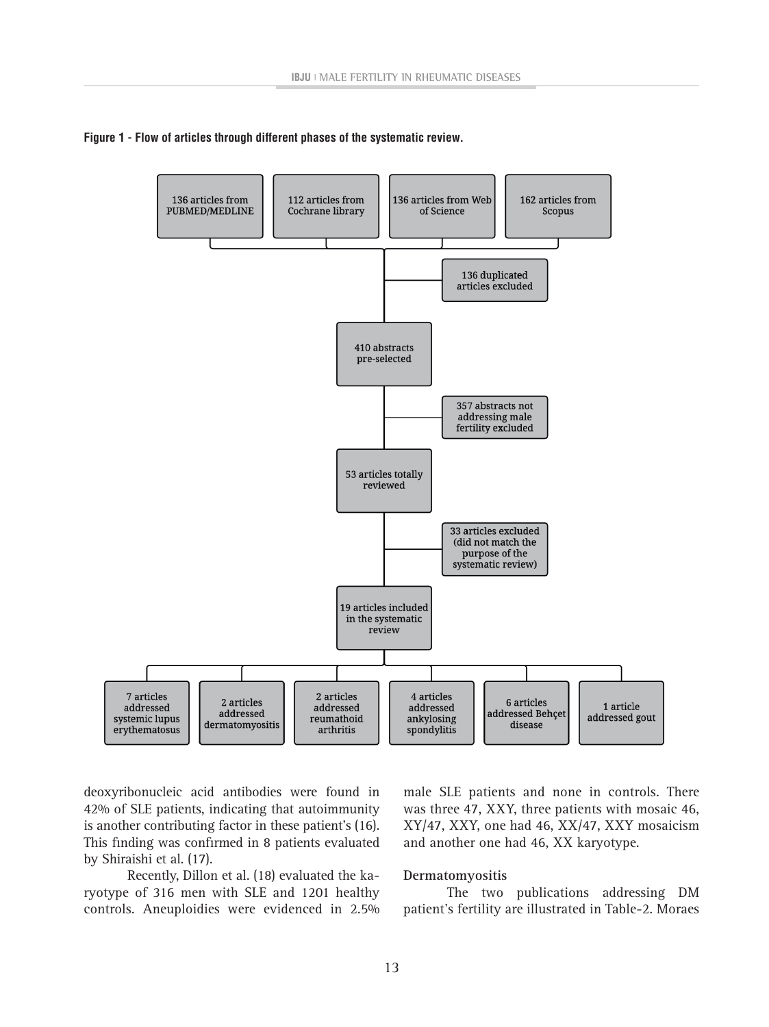



deoxyribonucleic acid antibodies were found in 42% of SLE patients, indicating that autoimmunity is another contributing factor in these patient's (16). This finding was confirmed in 8 patients evaluated by Shiraishi et al. (17).

Recently, Dillon et al. (18) evaluated the karyotype of 316 men with SLE and 1201 healthy controls. Aneuploidies were evidenced in 2.5% male SLE patients and none in controls. There was three 47, XXY, three patients with mosaic 46, XY/47, XXY, one had 46, XX/47, XXY mosaicism and another one had 46, XX karyotype.

### **Dermatomyositis**

The two publications addressing DM patient's fertility are illustrated in Table-2. Moraes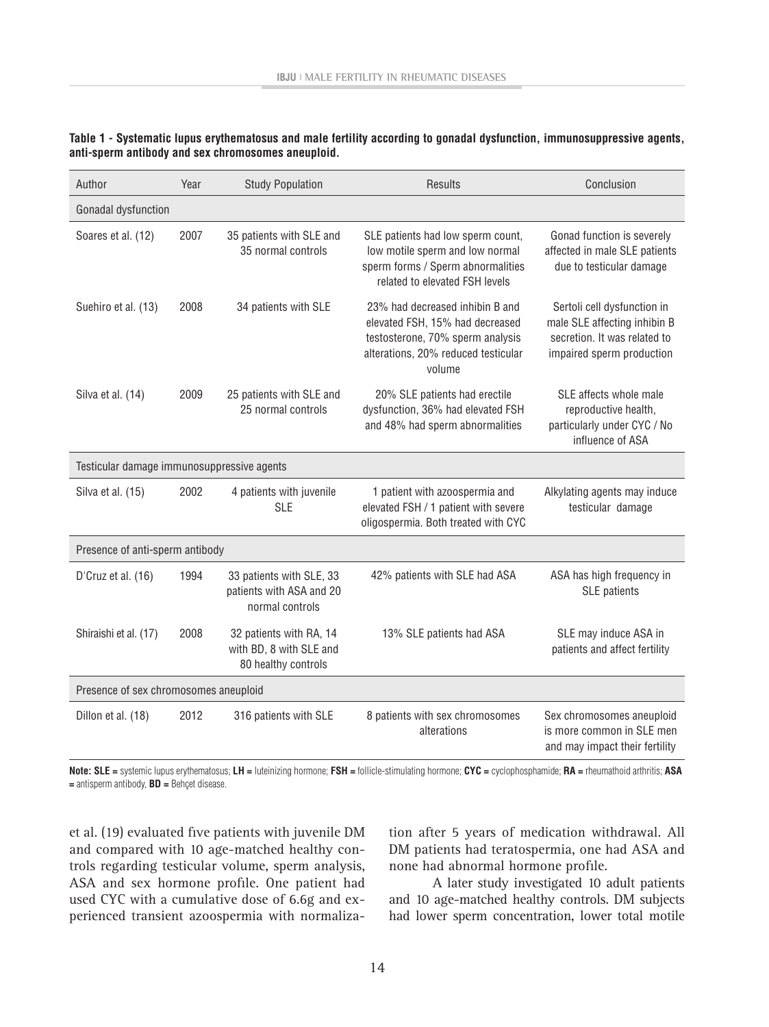| Author                                     | Year | <b>Study Population</b>                                                   | <b>Results</b>                                                                                                                                          | Conclusion                                                                                                               |  |  |
|--------------------------------------------|------|---------------------------------------------------------------------------|---------------------------------------------------------------------------------------------------------------------------------------------------------|--------------------------------------------------------------------------------------------------------------------------|--|--|
| Gonadal dysfunction                        |      |                                                                           |                                                                                                                                                         |                                                                                                                          |  |  |
| Soares et al. (12)                         | 2007 | 35 patients with SLE and<br>35 normal controls                            | SLE patients had low sperm count,<br>low motile sperm and low normal<br>sperm forms / Sperm abnormalities<br>related to elevated FSH levels             | Gonad function is severely<br>affected in male SLE patients<br>due to testicular damage                                  |  |  |
| Suehiro et al. (13)                        | 2008 | 34 patients with SLE                                                      | 23% had decreased inhibin B and<br>elevated FSH, 15% had decreased<br>testosterone, 70% sperm analysis<br>alterations, 20% reduced testicular<br>volume | Sertoli cell dysfunction in<br>male SLE affecting inhibin B<br>secretion. It was related to<br>impaired sperm production |  |  |
| Silva et al. (14)                          | 2009 | 25 patients with SLE and<br>25 normal controls                            | 20% SLE patients had erectile<br>dysfunction, 36% had elevated FSH<br>and 48% had sperm abnormalities                                                   | SLE affects whole male<br>reproductive health,<br>particularly under CYC / No<br>influence of ASA                        |  |  |
| Testicular damage immunosuppressive agents |      |                                                                           |                                                                                                                                                         |                                                                                                                          |  |  |
| Silva et al. (15)                          | 2002 | 4 patients with juvenile<br><b>SLE</b>                                    | 1 patient with azoospermia and<br>elevated FSH / 1 patient with severe<br>oligospermia. Both treated with CYC                                           | Alkylating agents may induce<br>testicular damage                                                                        |  |  |
| Presence of anti-sperm antibody            |      |                                                                           |                                                                                                                                                         |                                                                                                                          |  |  |
| D'Cruz et al. (16)                         | 1994 | 33 patients with SLE, 33<br>patients with ASA and 20<br>normal controls   | 42% patients with SLE had ASA                                                                                                                           | ASA has high frequency in<br>SLE patients                                                                                |  |  |
| Shiraishi et al. (17)                      | 2008 | 32 patients with RA, 14<br>with BD, 8 with SLE and<br>80 healthy controls | 13% SLE patients had ASA                                                                                                                                | SLE may induce ASA in<br>patients and affect fertility                                                                   |  |  |
| Presence of sex chromosomes aneuploid      |      |                                                                           |                                                                                                                                                         |                                                                                                                          |  |  |
| Dillon et al. (18)                         | 2012 | 316 patients with SLE                                                     | 8 patients with sex chromosomes<br>alterations                                                                                                          | Sex chromosomes aneuploid<br>is more common in SLE men<br>and may impact their fertility                                 |  |  |

| Table 1 - Systematic lupus erythematosus and male fertility according to gonadal dysfunction, immunosuppressive agents, |  |  |
|-------------------------------------------------------------------------------------------------------------------------|--|--|
| anti-sperm antibody and sex chromosomes aneuploid.                                                                      |  |  |

**Note: SLE =** systemic lupus erythematosus; **LH =** luteinizing hormone; **FSH =** follicle-stimulating hormone; **CYC =** cyclophosphamide; **RA =** rheumathoid arthritis; **ASA =** antisperm antibody, **BD =** Behçet disease.

et al. (19) evaluated five patients with juvenile DM and compared with 10 age-matched healthy controls regarding testicular volume, sperm analysis, ASA and sex hormone profile. One patient had used CYC with a cumulative dose of 6.6g and experienced transient azoospermia with normalization after 5 years of medication withdrawal. All DM patients had teratospermia, one had ASA and none had abnormal hormone profile.

A later study investigated 10 adult patients and 10 age-matched healthy controls. DM subjects had lower sperm concentration, lower total motile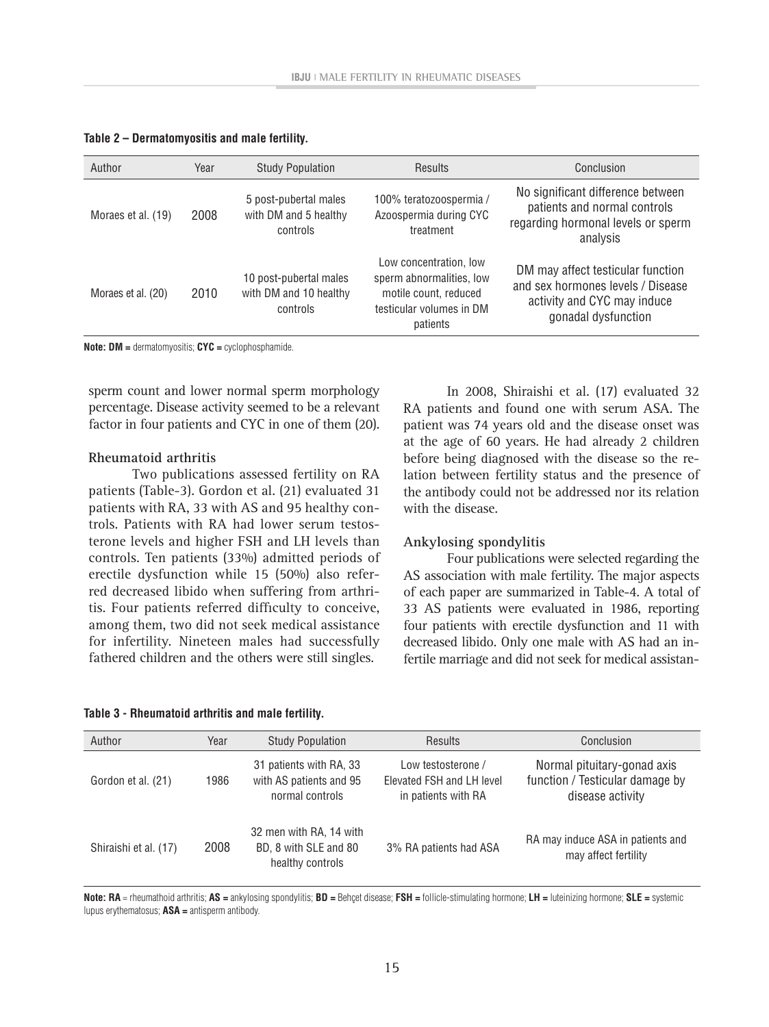|  | Table 2 – Dermatomyositis and male fertility. |  |  |  |
|--|-----------------------------------------------|--|--|--|
|--|-----------------------------------------------|--|--|--|

| Author             | Year | <b>Study Population</b>                                      | <b>Results</b>                                                                                                      | Conclusion                                                                                                                   |
|--------------------|------|--------------------------------------------------------------|---------------------------------------------------------------------------------------------------------------------|------------------------------------------------------------------------------------------------------------------------------|
| Moraes et al. (19) | 2008 | 5 post-pubertal males<br>with DM and 5 healthy<br>controls   | 100% teratozoospermia /<br>Azoospermia during CYC<br>treatment                                                      | No significant difference between<br>patients and normal controls<br>regarding hormonal levels or sperm<br>analysis          |
| Moraes et al. (20) | 2010 | 10 post-pubertal males<br>with DM and 10 healthy<br>controls | Low concentration, low<br>sperm abnormalities, low<br>motile count, reduced<br>testicular volumes in DM<br>patients | DM may affect testicular function<br>and sex hormones levels / Disease<br>activity and CYC may induce<br>gonadal dysfunction |

**Note: DM =** dermatomyositis; **CYC =** cyclophosphamide.

sperm count and lower normal sperm morphology percentage. Disease activity seemed to be a relevant factor in four patients and CYC in one of them (20).

#### **Rheumatoid arthritis**

Two publications assessed fertility on RA patients (Table-3). Gordon et al. (21) evaluated 31 patients with RA, 33 with AS and 95 healthy controls. Patients with RA had lower serum testosterone levels and higher FSH and LH levels than controls. Ten patients (33%) admitted periods of erectile dysfunction while 15 (50%) also referred decreased libido when suffering from arthritis. Four patients referred difficulty to conceive, among them, two did not seek medical assistance for infertility. Nineteen males had successfully fathered children and the others were still singles.

|  | Table 3 - Rheumatoid arthritis and male fertility. |  |  |  |
|--|----------------------------------------------------|--|--|--|
|--|----------------------------------------------------|--|--|--|

In 2008, Shiraishi et al. (17) evaluated 32 RA patients and found one with serum ASA. The patient was 74 years old and the disease onset was at the age of 60 years. He had already 2 children before being diagnosed with the disease so the relation between fertility status and the presence of the antibody could not be addressed nor its relation with the disease.

### **Ankylosing spondylitis**

Four publications were selected regarding the AS association with male fertility. The major aspects of each paper are summarized in Table-4. A total of 33 AS patients were evaluated in 1986, reporting four patients with erectile dysfunction and 11 with decreased libido. Only one male with AS had an infertile marriage and did not seek for medical assistan-

| Author                | Year |                                                                       | <b>Results</b>                                                         | Conclusion                                                                         |
|-----------------------|------|-----------------------------------------------------------------------|------------------------------------------------------------------------|------------------------------------------------------------------------------------|
|                       |      | <b>Study Population</b>                                               |                                                                        |                                                                                    |
| Gordon et al. (21)    | 1986 | 31 patients with RA, 33<br>with AS patients and 95<br>normal controls | Low testosterone /<br>Elevated FSH and LH level<br>in patients with RA | Normal pituitary-gonad axis<br>function / Testicular damage by<br>disease activity |
| Shiraishi et al. (17) | 2008 | 32 men with RA, 14 with<br>BD, 8 with SLE and 80<br>healthy controls  | 3% RA patients had ASA                                                 | RA may induce ASA in patients and<br>may affect fertility                          |

**Note: RA** = rheumathoid arthritis; **AS =** ankylosing spondylitis; **BD =** Behçet disease; **FSH =** follicle-stimulating hormone; **LH =** luteinizing hormone; **SLE =** systemic lupus erythematosus; **ASA =** antisperm antibody.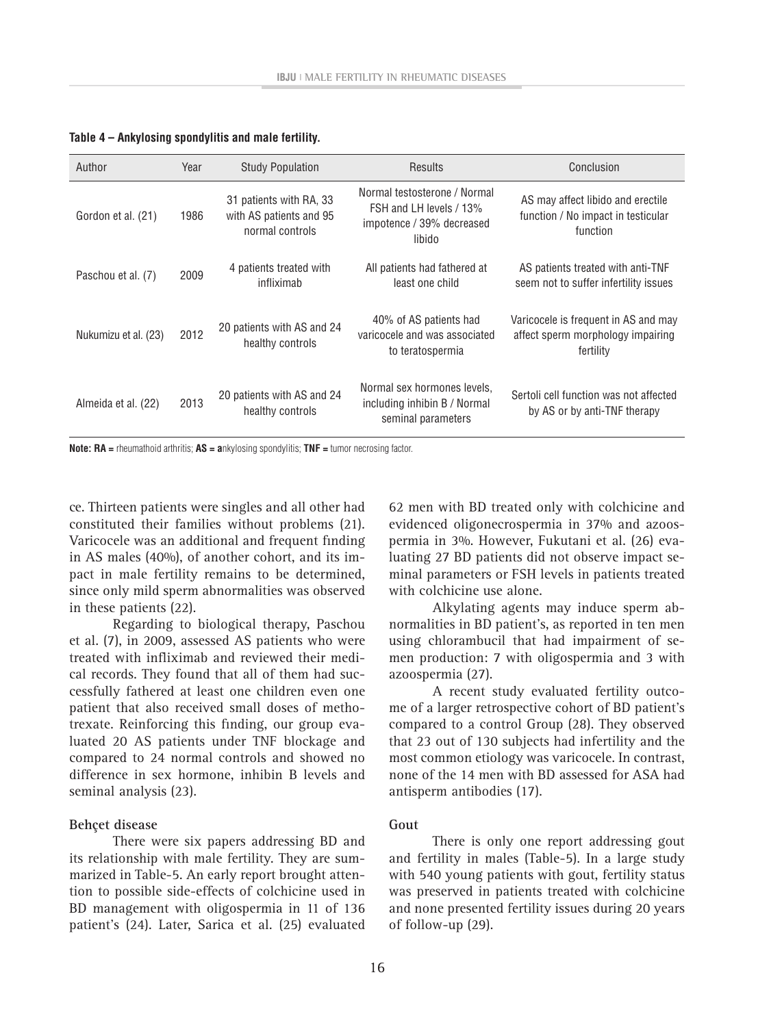| Author               | Year | <b>Study Population</b>                                               | <b>Results</b>                                                                                 | Conclusion                                                                             |
|----------------------|------|-----------------------------------------------------------------------|------------------------------------------------------------------------------------------------|----------------------------------------------------------------------------------------|
| Gordon et al. (21)   | 1986 | 31 patients with RA, 33<br>with AS patients and 95<br>normal controls | Normal testosterone / Normal<br>FSH and LH levels / 13%<br>impotence / 39% decreased<br>libido | AS may affect libido and erectile<br>function / No impact in testicular<br>function    |
| Paschou et al. (7)   | 2009 | 4 patients treated with<br>infliximab                                 | All patients had fathered at<br>least one child                                                | AS patients treated with anti-TNF<br>seem not to suffer infertility issues             |
| Nukumizu et al. (23) | 2012 | 20 patients with AS and 24<br>healthy controls                        | 40% of AS patients had<br>varicocele and was associated<br>to teratospermia                    | Varicocele is frequent in AS and may<br>affect sperm morphology impairing<br>fertility |
| Almeida et al. (22)  | 2013 | 20 patients with AS and 24<br>healthy controls                        | Normal sex hormones levels.<br>including inhibin B / Normal<br>seminal parameters              | Sertoli cell function was not affected<br>by AS or by anti-TNF therapy                 |

**Table 4 – Ankylosing spondylitis and male fertility.**

**Note: RA =** rheumathoid arthritis; **AS = a**nkylosing spondylitis; **TNF =** tumor necrosing factor.

ce. Thirteen patients were singles and all other had constituted their families without problems (21). Varicocele was an additional and frequent finding in AS males (40%), of another cohort, and its impact in male fertility remains to be determined, since only mild sperm abnormalities was observed in these patients (22).

Regarding to biological therapy, Paschou et al. (7), in 2009, assessed AS patients who were treated with infliximab and reviewed their medical records. They found that all of them had successfully fathered at least one children even one patient that also received small doses of methotrexate. Reinforcing this finding, our group evaluated 20 AS patients under TNF blockage and compared to 24 normal controls and showed no difference in sex hormone, inhibin B levels and seminal analysis (23).

#### **Behçet disease**

There were six papers addressing BD and its relationship with male fertility. They are summarized in Table-5. An early report brought attention to possible side-effects of colchicine used in BD management with oligospermia in 11 of 136 patient's (24). Later, Sarica et al. (25) evaluated 62 men with BD treated only with colchicine and evidenced oligonecrospermia in 37% and azoospermia in 3%. However, Fukutani et al. (26) evaluating 27 BD patients did not observe impact seminal parameters or FSH levels in patients treated with colchicine use alone.

Alkylating agents may induce sperm abnormalities in BD patient's, as reported in ten men using chlorambucil that had impairment of semen production: 7 with oligospermia and 3 with azoospermia (27).

A recent study evaluated fertility outcome of a larger retrospective cohort of BD patient's compared to a control Group (28). They observed that 23 out of 130 subjects had infertility and the most common etiology was varicocele. In contrast, none of the 14 men with BD assessed for ASA had antisperm antibodies (17).

#### **Gout**

There is only one report addressing gout and fertility in males (Table-5). In a large study with 540 young patients with gout, fertility status was preserved in patients treated with colchicine and none presented fertility issues during 20 years of follow-up (29).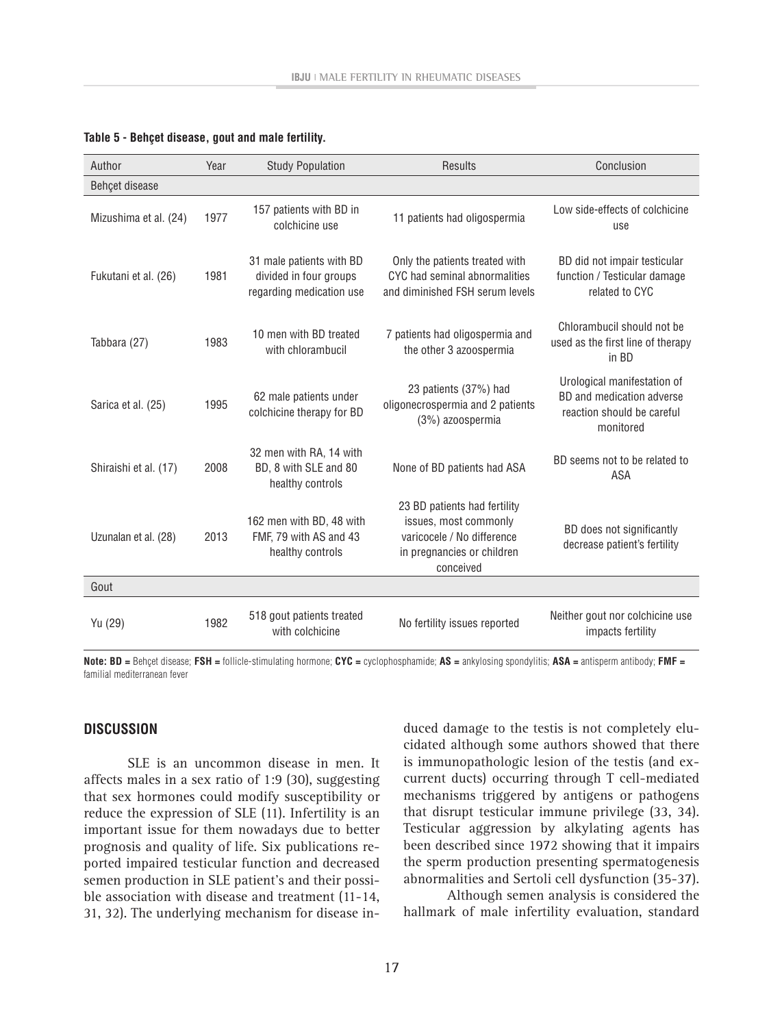| Author                | Year | <b>Study Population</b>                                                        | <b>Results</b>                                                                                                                 | Conclusion                                                                                          |
|-----------------------|------|--------------------------------------------------------------------------------|--------------------------------------------------------------------------------------------------------------------------------|-----------------------------------------------------------------------------------------------------|
| Behçet disease        |      |                                                                                |                                                                                                                                |                                                                                                     |
| Mizushima et al. (24) | 1977 | 157 patients with BD in<br>colchicine use                                      | 11 patients had oligospermia                                                                                                   | Low side-effects of colchicine<br>use                                                               |
| Fukutani et al. (26)  | 1981 | 31 male patients with BD<br>divided in four groups<br>regarding medication use | Only the patients treated with<br>CYC had seminal abnormalities<br>and diminished FSH serum levels                             | BD did not impair testicular<br>function / Testicular damage<br>related to CYC                      |
| Tabbara (27)          | 1983 | 10 men with BD treated<br>with chlorambucil                                    | 7 patients had oligospermia and<br>the other 3 azoospermia                                                                     | Chlorambucil should not be<br>used as the first line of therapy<br>in BD                            |
| Sarica et al. (25)    | 1995 | 62 male patients under<br>colchicine therapy for BD                            | 23 patients (37%) had<br>oligonecrospermia and 2 patients<br>(3%) azoospermia                                                  | Urological manifestation of<br>BD and medication adverse<br>reaction should be careful<br>monitored |
| Shiraishi et al. (17) | 2008 | 32 men with RA, 14 with<br>BD, 8 with SLE and 80<br>healthy controls           | None of BD patients had ASA                                                                                                    | BD seems not to be related to<br>ASA                                                                |
| Uzunalan et al. (28)  | 2013 | 162 men with BD, 48 with<br>FMF, 79 with AS and 43<br>healthy controls         | 23 BD patients had fertility<br>issues, most commonly<br>varicocele / No difference<br>in pregnancies or children<br>conceived | BD does not significantly<br>decrease patient's fertility                                           |
| Gout                  |      |                                                                                |                                                                                                                                |                                                                                                     |
| Yu (29)               | 1982 | 518 gout patients treated<br>with colchicine                                   | No fertility issues reported                                                                                                   | Neither gout nor colchicine use<br>impacts fertility                                                |

#### **Table 5 - Behçet disease, gout and male fertility.**

**Note: BD =** Behçet disease; **FSH =** follicle-stimulating hormone; **CYC =** cyclophosphamide; **AS =** ankylosing spondylitis; **ASA =** antisperm antibody; **FMF =** familial mediterranean fever

# **discussion**

SLE is an uncommon disease in men. It affects males in a sex ratio of 1:9 (30), suggesting that sex hormones could modify susceptibility or reduce the expression of SLE (11). Infertility is an important issue for them nowadays due to better prognosis and quality of life. Six publications reported impaired testicular function and decreased semen production in SLE patient's and their possible association with disease and treatment (11-14, 31, 32). The underlying mechanism for disease in-

duced damage to the testis is not completely elucidated although some authors showed that there is immunopathologic lesion of the testis (and excurrent ducts) occurring through T cell-mediated mechanisms triggered by antigens or pathogens that disrupt testicular immune privilege (33, 34). Testicular aggression by alkylating agents has been described since 1972 showing that it impairs the sperm production presenting spermatogenesis abnormalities and Sertoli cell dysfunction (35-37).

Although semen analysis is considered the hallmark of male infertility evaluation, standard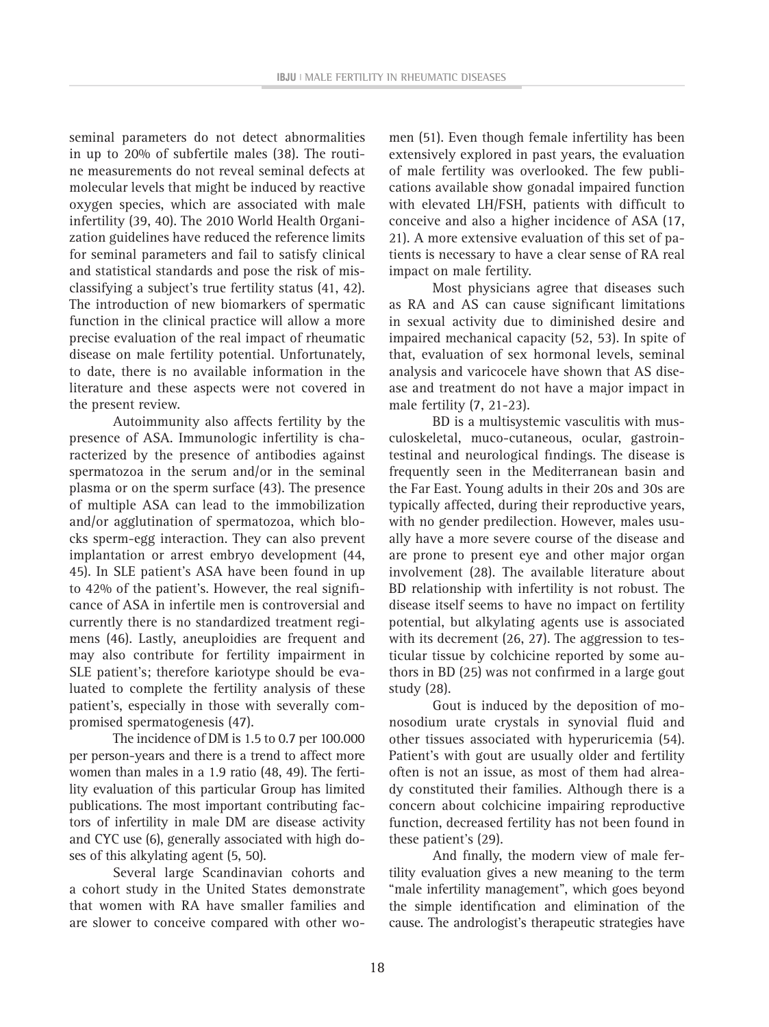seminal parameters do not detect abnormalities in up to 20% of subfertile males (38). The routine measurements do not reveal seminal defects at molecular levels that might be induced by reactive oxygen species, which are associated with male infertility (39, 40). The 2010 World Health Organization guidelines have reduced the reference limits for seminal parameters and fail to satisfy clinical and statistical standards and pose the risk of misclassifying a subject's true fertility status (41, 42). The introduction of new biomarkers of spermatic function in the clinical practice will allow a more precise evaluation of the real impact of rheumatic disease on male fertility potential. Unfortunately, to date, there is no available information in the literature and these aspects were not covered in the present review.

Autoimmunity also affects fertility by the presence of ASA. Immunologic infertility is characterized by the presence of antibodies against spermatozoa in the serum and/or in the seminal plasma or on the sperm surface (43). The presence of multiple ASA can lead to the immobilization and/or agglutination of spermatozoa, which blocks sperm-egg interaction. They can also prevent implantation or arrest embryo development (44, 45). In SLE patient's ASA have been found in up to 42% of the patient's. However, the real significance of ASA in infertile men is controversial and currently there is no standardized treatment regimens (46). Lastly, aneuploidies are frequent and may also contribute for fertility impairment in SLE patient's; therefore kariotype should be evaluated to complete the fertility analysis of these patient's, especially in those with severally compromised spermatogenesis (47).

The incidence of DM is 1.5 to 0.7 per 100.000 per person-years and there is a trend to affect more women than males in a 1.9 ratio (48, 49). The fertility evaluation of this particular Group has limited publications. The most important contributing factors of infertility in male DM are disease activity and CYC use (6), generally associated with high doses of this alkylating agent (5, 50).

Several large Scandinavian cohorts and a cohort study in the United States demonstrate that women with RA have smaller families and are slower to conceive compared with other women (51). Even though female infertility has been extensively explored in past years, the evaluation of male fertility was overlooked. The few publications available show gonadal impaired function with elevated LH/FSH, patients with difficult to conceive and also a higher incidence of ASA (17, 21). A more extensive evaluation of this set of patients is necessary to have a clear sense of RA real impact on male fertility.

Most physicians agree that diseases such as RA and AS can cause significant limitations in sexual activity due to diminished desire and impaired mechanical capacity (52, 53). In spite of that, evaluation of sex hormonal levels, seminal analysis and varicocele have shown that AS disease and treatment do not have a major impact in male fertility (7, 21-23).

BD is a multisystemic vasculitis with musculoskeletal, muco-cutaneous, ocular, gastrointestinal and neurological findings. The disease is frequently seen in the Mediterranean basin and the Far East. Young adults in their 20s and 30s are typically affected, during their reproductive years, with no gender predilection. However, males usually have a more severe course of the disease and are prone to present eye and other major organ involvement (28). The available literature about BD relationship with infertility is not robust. The disease itself seems to have no impact on fertility potential, but alkylating agents use is associated with its decrement (26, 27). The aggression to testicular tissue by colchicine reported by some authors in BD (25) was not confirmed in a large gout study (28).

Gout is induced by the deposition of monosodium urate crystals in synovial fluid and other tissues associated with hyperuricemia (54). Patient's with gout are usually older and fertility often is not an issue, as most of them had already constituted their families. Although there is a concern about colchicine impairing reproductive function, decreased fertility has not been found in these patient's (29).

And finally, the modern view of male fertility evaluation gives a new meaning to the term "male infertility management", which goes beyond the simple identification and elimination of the cause. The andrologist's therapeutic strategies have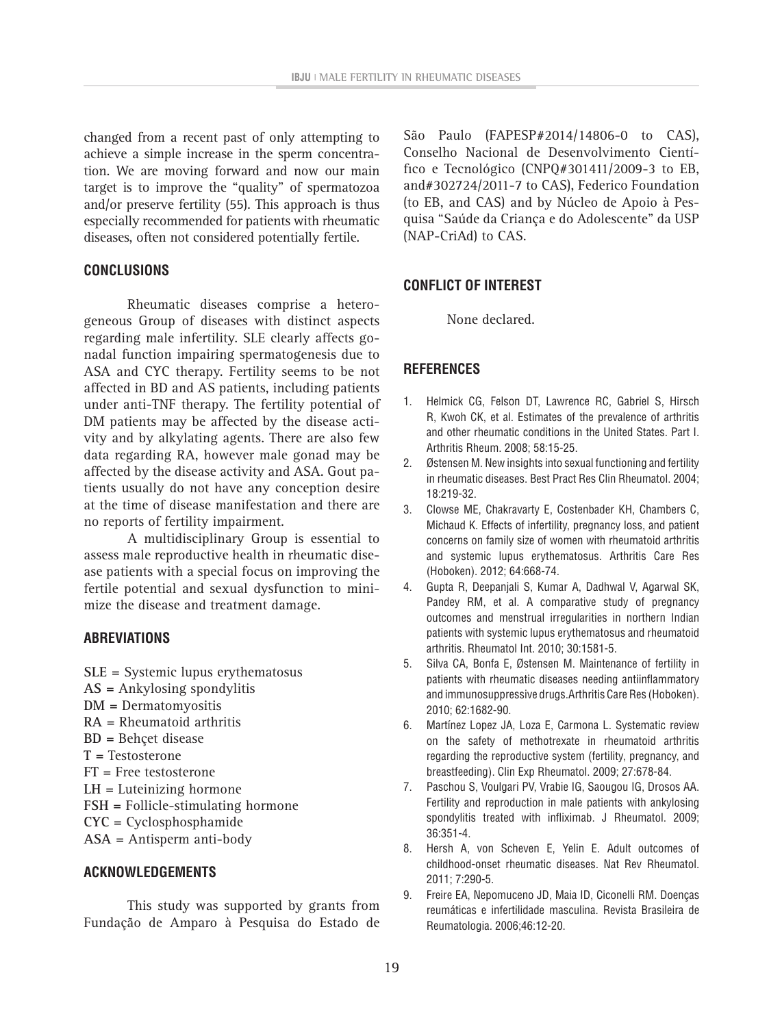changed from a recent past of only attempting to achieve a simple increase in the sperm concentration. We are moving forward and now our main target is to improve the "quality" of spermatozoa and/or preserve fertility (55). This approach is thus especially recommended for patients with rheumatic diseases, often not considered potentially fertile.

# **CONCLUSIONS**

Rheumatic diseases comprise a heterogeneous Group of diseases with distinct aspects regarding male infertility. SLE clearly affects gonadal function impairing spermatogenesis due to ASA and CYC therapy. Fertility seems to be not affected in BD and AS patients, including patients under anti-TNF therapy. The fertility potential of DM patients may be affected by the disease activity and by alkylating agents. There are also few data regarding RA, however male gonad may be affected by the disease activity and ASA. Gout patients usually do not have any conception desire at the time of disease manifestation and there are no reports of fertility impairment.

A multidisciplinary Group is essential to assess male reproductive health in rheumatic disease patients with a special focus on improving the fertile potential and sexual dysfunction to minimize the disease and treatment damage.

# **ABREVIATIONS**

- **SLE =** Systemic lupus erythematosus
- **AS =** Ankylosing spondylitis
- **DM =** Dermatomyositis
- **RA =** Rheumatoid arthritis
- **BD =** Behçet disease
- **T =** Testosterone
- **FT =** Free testosterone
- **LH =** Luteinizing hormone
- **FSH =** Follicle-stimulating hormone
- **CYC =** Cyclosphosphamide
- **ASA =** Antisperm anti-body

# **ACKNOWLEDGEMENTS**

This study was supported by grants from Fundação de Amparo à Pesquisa do Estado de

São Paulo (FAPESP#2014/14806-0 to CAS), Conselho Nacional de Desenvolvimento Científico e Tecnológico (CNPQ#301411/2009-3 to EB, and#302724/2011-7 to CAS), Federico Foundation (to EB, and CAS) and by Núcleo de Apoio à Pesquisa "Saúde da Criança e do Adolescente" da USP (NAP-CriAd) to CAS.

# **CONFLICT OF INTEREST**

None declared.

# **REFERENCES**

- 1. Helmick CG, Felson DT, Lawrence RC, Gabriel S, Hirsch R, Kwoh CK, et al. Estimates of the prevalence of arthritis and other rheumatic conditions in the United States. Part I. Arthritis Rheum. 2008; 58:15-25.
- 2. Østensen M. New insights into sexual functioning and fertility in rheumatic diseases. Best Pract Res Clin Rheumatol. 2004; 18:219-32.
- 3. Clowse ME, Chakravarty E, Costenbader KH, Chambers C, Michaud K. Effects of infertility, pregnancy loss, and patient concerns on family size of women with rheumatoid arthritis and systemic lupus erythematosus. Arthritis Care Res (Hoboken). 2012; 64:668-74.
- 4. Gupta R, Deepanjali S, Kumar A, Dadhwal V, Agarwal SK, Pandey RM, et al. A comparative study of pregnancy outcomes and menstrual irregularities in northern Indian patients with systemic lupus erythematosus and rheumatoid arthritis. Rheumatol Int. 2010; 30:1581-5.
- 5. Silva CA, Bonfa E, Østensen M. Maintenance of fertility in patients with rheumatic diseases needing antiinflammatory and immunosuppressive drugs.Arthritis Care Res (Hoboken). 2010; 62:1682-90.
- 6. Martínez Lopez JA, Loza E, Carmona L. Systematic review on the safety of methotrexate in rheumatoid arthritis regarding the reproductive system (fertility, pregnancy, and breastfeeding). Clin Exp Rheumatol. 2009; 27:678-84.
- 7. Paschou S, Voulgari PV, Vrabie IG, Saougou IG, Drosos AA. Fertility and reproduction in male patients with ankylosing spondylitis treated with infliximab. J Rheumatol. 2009; 36:351-4.
- 8. Hersh A, von Scheven E, Yelin E. Adult outcomes of childhood-onset rheumatic diseases. Nat Rev Rheumatol. 2011; 7:290-5.
- 9. Freire EA, Nepomuceno JD, Maia ID, Ciconelli RM. Doenças reumáticas e infertilidade masculina. Revista Brasileira de Reumatologia. 2006;46:12-20.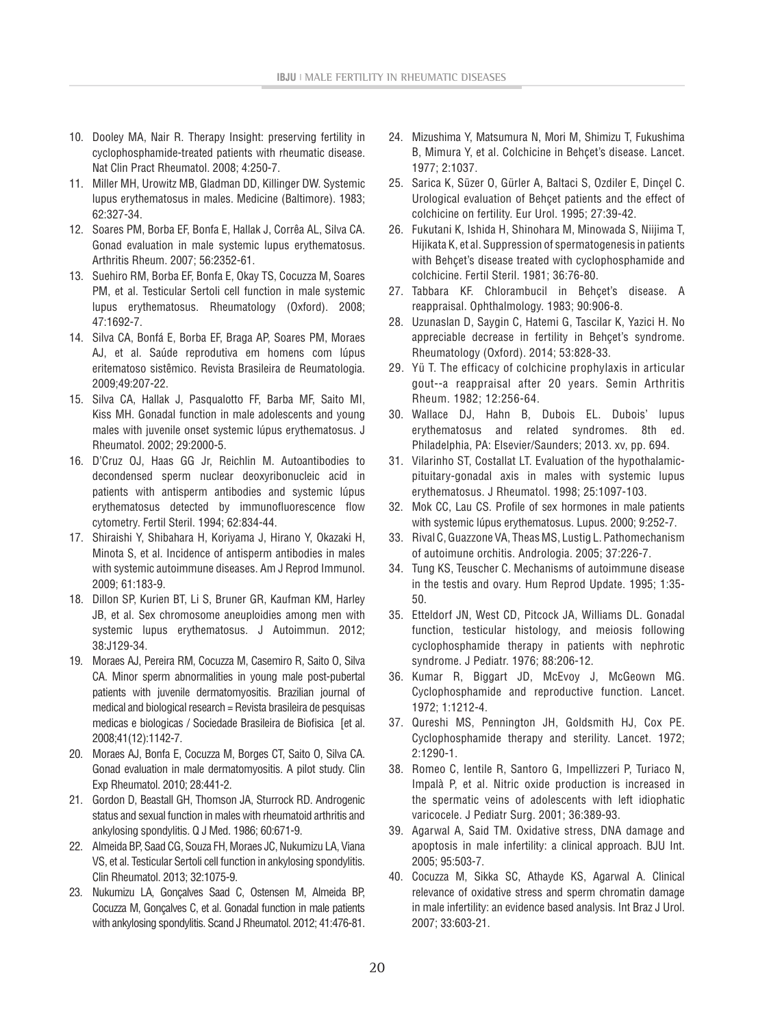- 10. Dooley MA, Nair R. Therapy Insight: preserving fertility in cyclophosphamide-treated patients with rheumatic disease. Nat Clin Pract Rheumatol. 2008; 4:250-7.
- 11. Miller MH, Urowitz MB, Gladman DD, Killinger DW. Systemic lupus erythematosus in males. Medicine (Baltimore). 1983; 62:327-34.
- 12. Soares PM, Borba EF, Bonfa E, Hallak J, Corrêa AL, Silva CA. Gonad evaluation in male systemic lupus erythematosus. Arthritis Rheum. 2007; 56:2352-61.
- 13. Suehiro RM, Borba EF, Bonfa E, Okay TS, Cocuzza M, Soares PM, et al. Testicular Sertoli cell function in male systemic lupus erythematosus. Rheumatology (Oxford). 2008; 47:1692-7.
- 14. Silva CA, Bonfá E, Borba EF, Braga AP, Soares PM, Moraes AJ, et al. Saúde reprodutiva em homens com lúpus eritematoso sistêmico. Revista Brasileira de Reumatologia. 2009;49:207-22.
- 15. Silva CA, Hallak J, Pasqualotto FF, Barba MF, Saito MI, Kiss MH. Gonadal function in male adolescents and young males with juvenile onset systemic lúpus erythematosus. J Rheumatol. 2002; 29:2000-5.
- 16. D'Cruz OJ, Haas GG Jr, Reichlin M. Autoantibodies to decondensed sperm nuclear deoxyribonucleic acid in patients with antisperm antibodies and systemic lúpus erythematosus detected by immunofluorescence flow cytometry. Fertil Steril. 1994; 62:834-44.
- 17. Shiraishi Y, Shibahara H, Koriyama J, Hirano Y, Okazaki H, Minota S, et al. Incidence of antisperm antibodies in males with systemic autoimmune diseases. Am J Reprod Immunol. 2009; 61:183-9.
- 18. Dillon SP, Kurien BT, Li S, Bruner GR, Kaufman KM, Harley JB, et al. Sex chromosome aneuploidies among men with systemic lupus erythematosus. J Autoimmun. 2012; 38:J129-34.
- 19. Moraes AJ, Pereira RM, Cocuzza M, Casemiro R, Saito O, Silva CA. Minor sperm abnormalities in young male post-pubertal patients with juvenile dermatomyositis. Brazilian journal of medical and biological research = Revista brasileira de pesquisas medicas e biologicas / Sociedade Brasileira de Biofisica [et al. 2008;41(12):1142-7.
- 20. Moraes AJ, Bonfa E, Cocuzza M, Borges CT, Saito O, Silva CA. Gonad evaluation in male dermatomyositis. A pilot study. Clin Exp Rheumatol. 2010; 28:441-2.
- 21. Gordon D, Beastall GH, Thomson JA, Sturrock RD. Androgenic status and sexual function in males with rheumatoid arthritis and ankylosing spondylitis. Q J Med. 1986; 60:671-9.
- 22. Almeida BP, Saad CG, Souza FH, Moraes JC, Nukumizu LA, Viana VS, et al. Testicular Sertoli cell function in ankylosing spondylitis. Clin Rheumatol. 2013; 32:1075-9.
- 23. Nukumizu LA, Gonçalves Saad C, Ostensen M, Almeida BP, Cocuzza M, Gonçalves C, et al. Gonadal function in male patients with ankylosing spondylitis. Scand J Rheumatol. 2012; 41:476-81.
- 24. Mizushima Y, Matsumura N, Mori M, Shimizu T, Fukushima B, Mimura Y, et al. Colchicine in Behçet's disease. Lancet. 1977; 2:1037.
- 25. Sarica K, Süzer O, Gürler A, Baltaci S, Ozdiler E, Dinçel C. Urological evaluation of Behçet patients and the effect of colchicine on fertility. Eur Urol. 1995; 27:39-42.
- 26. Fukutani K, Ishida H, Shinohara M, Minowada S, Niijima T, Hijikata K, et al. Suppression of spermatogenesis in patients with Behçet's disease treated with cyclophosphamide and colchicine. Fertil Steril. 1981; 36:76-80.
- 27. Tabbara KF. Chlorambucil in Behçet's disease. A reappraisal. Ophthalmology. 1983; 90:906-8.
- 28. Uzunaslan D, Saygin C, Hatemi G, Tascilar K, Yazici H. No appreciable decrease in fertility in Behçet's syndrome. Rheumatology (Oxford). 2014; 53:828-33.
- 29. Yü T. The efficacy of colchicine prophylaxis in articular gout--a reappraisal after 20 years. Semin Arthritis Rheum. 1982; 12:256-64.
- 30. Wallace DJ, Hahn B, Dubois EL. Dubois' lupus erythematosus and related syndromes. 8th ed. Philadelphia, PA: Elsevier/Saunders; 2013. xv, pp. 694.
- 31. Vilarinho ST, Costallat LT. Evaluation of the hypothalamicpituitary-gonadal axis in males with systemic lupus erythematosus. J Rheumatol. 1998; 25:1097-103.
- 32. Mok CC, Lau CS. Profile of sex hormones in male patients with systemic lúpus erythematosus. Lupus. 2000; 9:252-7.
- 33. Rival C, Guazzone VA, Theas MS, Lustig L. Pathomechanism of autoimune orchitis. Andrologia. 2005; 37:226-7.
- 34. Tung KS, Teuscher C. Mechanisms of autoimmune disease in the testis and ovary. Hum Reprod Update. 1995; 1:35- 50.
- 35. Etteldorf JN, West CD, Pitcock JA, Williams DL. Gonadal function, testicular histology, and meiosis following cyclophosphamide therapy in patients with nephrotic syndrome. J Pediatr. 1976; 88:206-12.
- 36. Kumar R, Biggart JD, McEvoy J, McGeown MG. Cyclophosphamide and reproductive function. Lancet. 1972; 1:1212-4.
- 37. Qureshi MS, Pennington JH, Goldsmith HJ, Cox PE. Cyclophosphamide therapy and sterility. Lancet. 1972; 2:1290-1.
- 38. Romeo C, Ientile R, Santoro G, Impellizzeri P, Turiaco N, Impalà P, et al. Nitric oxide production is increased in the spermatic veins of adolescents with left idiophatic varicocele. J Pediatr Surg. 2001; 36:389-93.
- 39. Agarwal A, Said TM. Oxidative stress, DNA damage and apoptosis in male infertility: a clinical approach. BJU Int. 2005; 95:503-7.
- 40. Cocuzza M, Sikka SC, Athayde KS, Agarwal A. Clinical relevance of oxidative stress and sperm chromatin damage in male infertility: an evidence based analysis. Int Braz J Urol. 2007; 33:603-21.